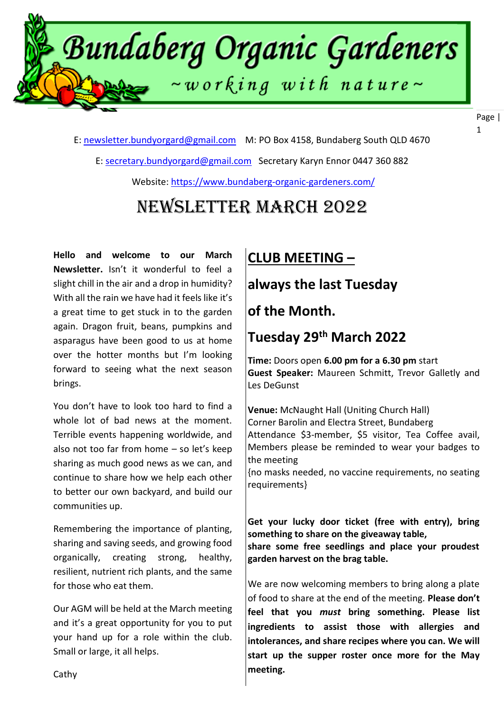

E: [newsletter.bundyorgard@gmail.com](file:///F:/data/documents/BOGI%20Files/Newsletters%202020/7.%20July%202020/newsletter.bundyorgard@gmail.com) M: PO Box 4158, Bundaberg South QLD 4670

E: [secretary.bundyorgard@gmail.com](file:///F:/data/documents/BOGI%20Files/Newsletters%202020/7.%20July%202020/secretary.bundyorgard@gmail.com) Secretary Karyn Ennor 0447 360 882

Website:<https://www.bundaberg-organic-gardeners.com/>

# Newsletter March 2022

**Hello and welcome to our March Newsletter.** Isn't it wonderful to feel a slight chill in the air and a drop in humidity? With all the rain we have had it feels like it's a great time to get stuck in to the garden again. Dragon fruit, beans, pumpkins and asparagus have been good to us at home over the hotter months but I'm looking forward to seeing what the next season brings.

You don't have to look too hard to find a whole lot of bad news at the moment. Terrible events happening worldwide, and also not too far from home – so let's keep sharing as much good news as we can, and continue to share how we help each other to better our own backyard, and build our communities up.

Remembering the importance of planting, sharing and saving seeds, and growing food organically, creating strong, healthy, resilient, nutrient rich plants, and the same for those who eat them.

Our AGM will be held at the March meeting and it's a great opportunity for you to put your hand up for a role within the club. Small or large, it all helps.

#### $\overline{a}$ **CLUB MEETING –**

# **always the last Tuesday**

#### $\overline{a}$ **of the Month.**

#### $\overline{a}$ **Tuesday 29th March 2022**

 $\overline{a}$  **Guest Speaker:** Maureen Schmitt, Trevor Galletly and **Time:** Doors open **6.00 pm for a 6.30 pm** start Les DeGunst

 $\ddot{\phantom{0}}$ Corner Barolin and Electra Street, Bundaberg **Venue:** McNaught Hall (Uniting Church Hall) Attendance \$3-member, \$5 visitor, Tea Coffee avail, Members please be reminded to wear your badges to the meeting

{no masks needed, no vaccine requirements, no seating requirements}

**Get your lucky door ticket (free with entry), bring something to share on the giveaway table, share some free seedlings and place your proudest garden harvest on the brag table.**

We are now welcoming members to bring along a plate of food to share at the end of the meeting. **Please don't feel that you** *must* **bring something. Please list ingredients to assist those with allergies and intolerances, and share recipes where you can. We will start up the supper roster once more for the May meeting.**

Cathy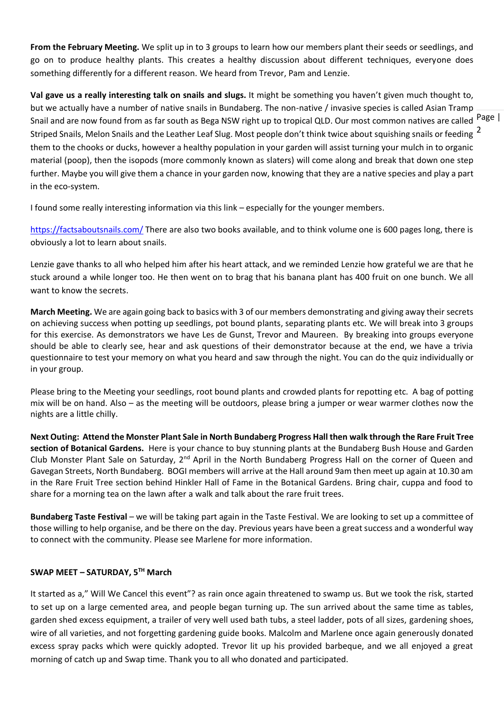**From the February Meeting.** We split up in to 3 groups to learn how our members plant their seeds or seedlings, and go on to produce healthy plants. This creates a healthy discussion about different techniques, everyone does something differently for a different reason. We heard from Trevor, Pam and Lenzie.

Snail and are now found from as far south as Bega NSW right up to tropical QLD. Our most common natives are called <sup>Page</sup> | Striped Snails, Melon Snails and the Leather Leaf Slug. Most people don't think twice about squishing snails or feeding  $\frac{2}{3}$ **Val gave us a really interesting talk on snails and slugs.** It might be something you haven't given much thought to, but we actually have a number of native snails in Bundaberg. The non-native / invasive species is called Asian Tramp them to the chooks or ducks, however a healthy population in your garden will assist turning your mulch in to organic material (poop), then the isopods (more commonly known as slaters) will come along and break that down one step further. Maybe you will give them a chance in your garden now, knowing that they are a native species and play a part in the eco-system.

I found some really interesting information via this link – especially for the younger members.

<https://factsaboutsnails.com/> There are also two books available, and to think volume one is 600 pages long, there is obviously a lot to learn about snails.

Lenzie gave thanks to all who helped him after his heart attack, and we reminded Lenzie how grateful we are that he stuck around a while longer too. He then went on to brag that his banana plant has 400 fruit on one bunch. We all want to know the secrets.

**March Meeting.** We are again going back to basics with 3 of our members demonstrating and giving away their secrets on achieving success when potting up seedlings, pot bound plants, separating plants etc. We will break into 3 groups for this exercise. As demonstrators we have Les de Gunst, Trevor and Maureen. By breaking into groups everyone should be able to clearly see, hear and ask questions of their demonstrator because at the end, we have a trivia questionnaire to test your memory on what you heard and saw through the night. You can do the quiz individually or in your group.

Please bring to the Meeting your seedlings, root bound plants and crowded plants for repotting etc. A bag of potting mix will be on hand. Also – as the meeting will be outdoors, please bring a jumper or wear warmer clothes now the nights are a little chilly.

**Next Outing: Attend the Monster Plant Sale in North Bundaberg Progress Hall then walk through the Rare Fruit Tree section of Botanical Gardens.** Here is your chance to buy stunning plants at the Bundaberg Bush House and Garden Club Monster Plant Sale on Saturday,  $2^{nd}$  April in the North Bundaberg Progress Hall on the corner of Queen and Gavegan Streets, North Bundaberg. BOGI members will arrive at the Hall around 9am then meet up again at 10.30 am in the Rare Fruit Tree section behind Hinkler Hall of Fame in the Botanical Gardens. Bring chair, cuppa and food to share for a morning tea on the lawn after a walk and talk about the rare fruit trees.

**Bundaberg Taste Festival** – we will be taking part again in the Taste Festival. We are looking to set up a committee of those willing to help organise, and be there on the day. Previous years have been a great success and a wonderful way to connect with the community. Please see Marlene for more information.

#### **SWAP MEET – SATURDAY, 5TH March**

It started as a," Will We Cancel this event"? as rain once again threatened to swamp us. But we took the risk, started to set up on a large cemented area, and people began turning up. The sun arrived about the same time as tables, garden shed excess equipment, a trailer of very well used bath tubs, a steel ladder, pots of all sizes, gardening shoes, wire of all varieties, and not forgetting gardening guide books. Malcolm and Marlene once again generously donated excess spray packs which were quickly adopted. Trevor lit up his provided barbeque, and we all enjoyed a great morning of catch up and Swap time. Thank you to all who donated and participated.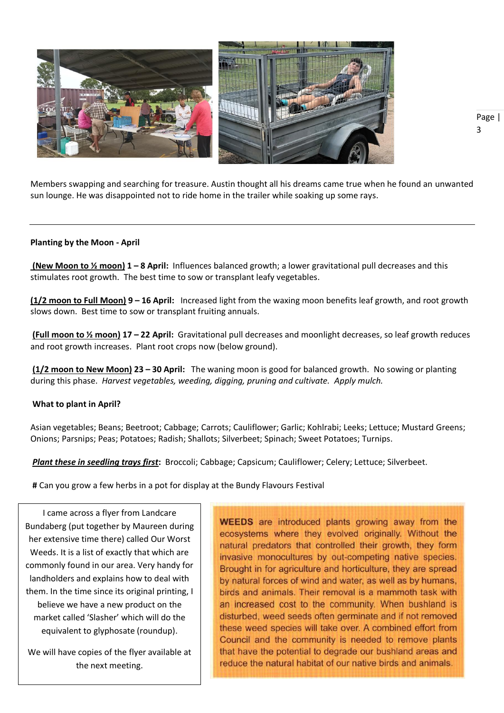

Members swapping and searching for treasure. Austin thought all his dreams came true when he found an unwanted sun lounge. He was disappointed not to ride home in the trailer while soaking up some rays.

#### **Planting by the Moon - April**

**(New Moon to ½ moon) 1 – 8 April:** Influences balanced growth; a lower gravitational pull decreases and this stimulates root growth. The best time to sow or transplant leafy vegetables.

**(1/2 moon to Full Moon) 9 – 16 April:** Increased light from the waxing moon benefits leaf growth, and root growth slows down. Best time to sow or transplant fruiting annuals.

**(Full moon to ½ moon) 17 – 22 April:** Gravitational pull decreases and moonlight decreases, so leaf growth reduces and root growth increases. Plant root crops now (below ground).

**(1/2 moon to New Moon) 23 – 30 April:** The waning moon is good for balanced growth. No sowing or planting during this phase. *Harvest vegetables, weeding, digging, pruning and cultivate. Apply mulch.*

#### **What to plant in April?**

Asian vegetables; Beans; Beetroot; Cabbage; Carrots; Cauliflower; Garlic; Kohlrabi; Leeks; Lettuce; Mustard Greens; Onions; Parsnips; Peas; Potatoes; Radish; Shallots; Silverbeet; Spinach; Sweet Potatoes; Turnips.

*Plant these in seedling trays first***:** Broccoli; Cabbage; Capsicum; Cauliflower; Celery; Lettuce; Silverbeet.

**#** Can you grow a few herbs in a pot for display at the Bundy Flavours Festival

I came across a flyer from Landcare Bundaberg (put together by Maureen during her extensive time there) called Our Worst Weeds. It is a list of exactly that which are commonly found in our area. Very handy for landholders and explains how to deal with them. In the time since its original printing, I believe we have a new product on the market called 'Slasher' which will do the equivalent to glyphosate (roundup).

We will have copies of the flyer available at the next meeting.

**WEEDS** are introduced plants growing away from the ecosystems where they evolved originally. Without the natural predators that controlled their growth, they form invasive monocultures by out-competing native species. Brought in for agriculture and horticulture, they are spread by natural forces of wind and water, as well as by humans, birds and animals. Their removal is a mammoth task with an increased cost to the community. When bushland is disturbed, weed seeds often germinate and if not removed these weed species will take over. A combined effort from Council and the community is needed to remove plants that have the potential to degrade our bushland areas and reduce the natural habitat of our native birds and animals.

Page | 3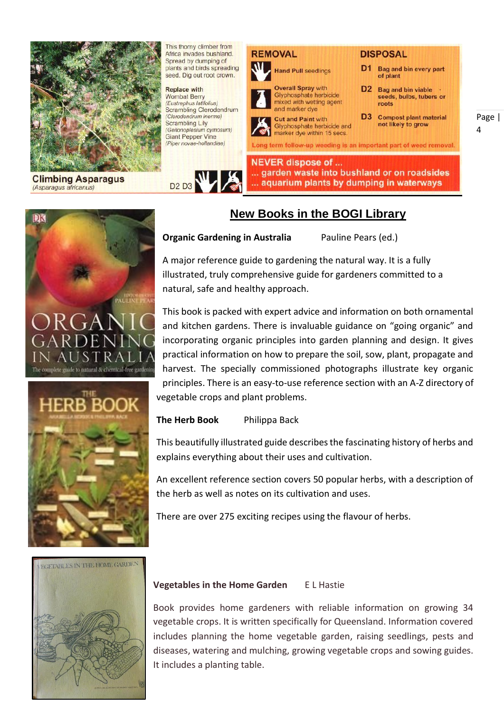

**Climbing Asparagus** (Asparagus africanus)



**Replace with Wombat Berry** (Fustrephus latifolius) Scrambling Clerodendrum (Clerodendrum inerme) Scrambling Lily (Geitonoplesium cymosum)<br>Giant Pepper Vine (Piper novae-hollandiae)





Page |  $\overline{A}$ 

# DК guide to natural & chemical-free





#### **Organic Gardening in Australia** Pauline Pears (ed.)

A major reference guide to gardening the natural way. It is a fully illustrated, truly comprehensive guide for gardeners committed to a natural, safe and healthy approach.

This book is packed with expert advice and information on both ornamental and kitchen gardens. There is invaluable guidance on "going organic" and incorporating organic principles into garden planning and design. It gives practical information on how to prepare the soil, sow, plant, propagate and harvest. The specially commissioned photographs illustrate key organic principles. There is an easy-to-use reference section with an A-Z directory of vegetable crops and plant problems.

**The Herb Book** Philippa Back

This beautifully illustrated guide describes the fascinating history of herbs and explains everything about their uses and cultivation.

An excellent reference section covers 50 popular herbs, with a description of the herb as well as notes on its cultivation and uses.

There are over 275 exciting recipes using the flavour of herbs.



#### **Vegetables in the Home Garden** E L Hastie

Book provides home gardeners with reliable information on growing 34 vegetable crops. It is written specifically for Queensland. Information covered includes planning the home vegetable garden, raising seedlings, pests and diseases, watering and mulching, growing vegetable crops and sowing guides. It includes a planting table.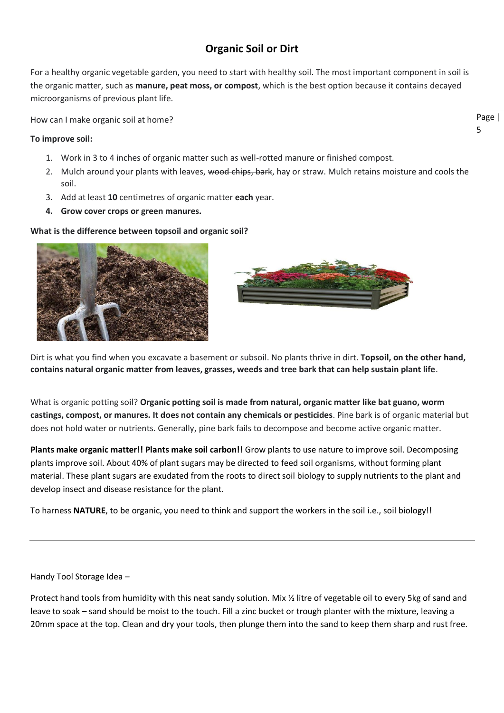### **Organic Soil or Dirt**

For a healthy organic vegetable garden, you need to start with healthy soil. The most important component in soil is the organic matter, such as **manure, peat moss, or compost**, which is the best option because it contains decayed microorganisms of previous plant life.

How can I make organic soil at home?

#### **To improve soil:**

- 1. Work in 3 to 4 inches of organic matter such as well-rotted manure or finished compost.
- 2. Mulch around your plants with leaves, wood chips, bark, hay or straw. Mulch retains moisture and cools the soil.
- 3. Add at least **10** centimetres of organic matter **each** year.
- **4. Grow cover crops or green manures.**

#### **What is the difference between topsoil and organic soil?**





Dirt is what you find when you excavate a basement or subsoil. No plants thrive in dirt. **Topsoil, on the other hand, contains natural organic matter from leaves, grasses, weeds and tree bark that can help sustain plant life**.

What is organic potting soil? **Organic potting soil is made from natural, organic matter like bat guano, worm castings, compost, or manures. It does not contain any chemicals or pesticides**. Pine bark is of organic material but does not hold water or nutrients. Generally, pine bark fails to decompose and become active organic matter.

**Plants make organic matter!! Plants make soil carbon!!** Grow plants to use nature to improve soil. Decomposing plants improve soil. About 40% of plant sugars may be directed to feed soil organisms, without forming plant material. These plant sugars are exudated from the roots to direct soil biology to supply nutrients to the plant and develop insect and disease resistance for the plant.

To harness **NATURE**, to be organic, you need to think and support the workers in the soil i.e., soil biology!!

Handy Tool Storage Idea –

Protect hand tools from humidity with this neat sandy solution. Mix % litre of vegetable oil to every 5kg of sand and leave to soak – sand should be moist to the touch. Fill a zinc bucket or trough planter with the mixture, leaving a 20mm space at the top. Clean and dry your tools, then plunge them into the sand to keep them sharp and rust free.

Page | 5